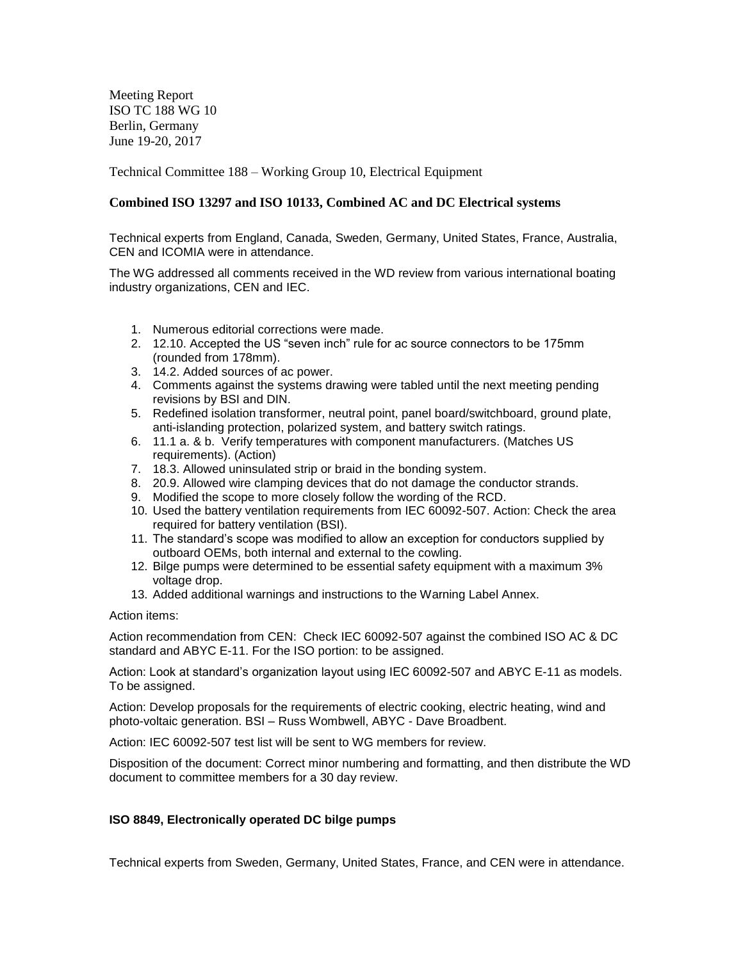Meeting Report ISO TC 188 WG 10 Berlin, Germany June 19-20, 2017

Technical Committee 188 – Working Group 10, Electrical Equipment

## **Combined ISO 13297 and ISO 10133, Combined AC and DC Electrical systems**

Technical experts from England, Canada, Sweden, Germany, United States, France, Australia, CEN and ICOMIA were in attendance.

The WG addressed all comments received in the WD review from various international boating industry organizations, CEN and IEC.

- 1. Numerous editorial corrections were made.
- 2. 12.10. Accepted the US "seven inch" rule for ac source connectors to be 175mm (rounded from 178mm).
- 3. 14.2. Added sources of ac power.
- 4. Comments against the systems drawing were tabled until the next meeting pending revisions by BSI and DIN.
- 5. Redefined isolation transformer, neutral point, panel board/switchboard, ground plate, anti-islanding protection, polarized system, and battery switch ratings.
- 6. 11.1 a. & b. Verify temperatures with component manufacturers. (Matches US requirements). (Action)
- 7. 18.3. Allowed uninsulated strip or braid in the bonding system.
- 8. 20.9. Allowed wire clamping devices that do not damage the conductor strands.
- 9. Modified the scope to more closely follow the wording of the RCD.
- 10. Used the battery ventilation requirements from IEC 60092-507. Action: Check the area required for battery ventilation (BSI).
- 11. The standard's scope was modified to allow an exception for conductors supplied by outboard OEMs, both internal and external to the cowling.
- 12. Bilge pumps were determined to be essential safety equipment with a maximum 3% voltage drop.
- 13. Added additional warnings and instructions to the Warning Label Annex.

Action items:

Action recommendation from CEN: Check IEC 60092-507 against the combined ISO AC & DC standard and ABYC E-11. For the ISO portion: to be assigned.

Action: Look at standard's organization layout using IEC 60092-507 and ABYC E-11 as models. To be assigned.

Action: Develop proposals for the requirements of electric cooking, electric heating, wind and photo-voltaic generation. BSI – Russ Wombwell, ABYC - Dave Broadbent.

Action: IEC 60092-507 test list will be sent to WG members for review.

Disposition of the document: Correct minor numbering and formatting, and then distribute the WD document to committee members for a 30 day review.

## **ISO 8849, Electronically operated DC bilge pumps**

Technical experts from Sweden, Germany, United States, France, and CEN were in attendance.